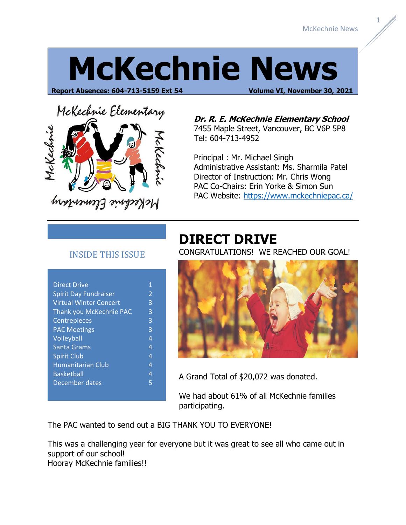## **McKechnie News**

**Report Absences: 604-713-5159 Ext 54 Volume VI, November 30, 2021**

# McKechnie Elementary McKechnie

McKechnie Elementary

**Dr. R. E. McKechnie Elementary School** 7455 Maple Street, Vancouver, BC V6P 5P8 Tel: 604-713-4952

Principal : Mr. Michael Singh Administrative Assistant: Ms. Sharmila Patel Director of Instruction: Mr. Chris Wong PAC Co-Chairs: Erin Yorke & Simon Sun PAC Website:<https://www.mckechniepac.ca/>

#### INSIDE THIS ISSUE

| <b>Direct Drive</b>           | 1              |
|-------------------------------|----------------|
| <b>Spirit Day Fundraiser</b>  | $\overline{2}$ |
| <b>Virtual Winter Concert</b> | 3              |
| Thank you McKechnie PAC       | 3              |
| Centrepieces                  | 3              |
| <b>PAC Meetings</b>           | 3              |
| Volleyball                    | $\overline{4}$ |
| Santa Grams                   | 4              |
| <b>Spirit Club</b>            | $\overline{4}$ |
| <b>Humanitarian Club</b>      | $\overline{4}$ |
| <b>Basketball</b>             | 4              |
| December dates                | 5              |
|                               |                |

#### **DIRECT DRIVE**

CONGRATULATIONS! WE REACHED OUR GOAL!



A Grand Total of \$20,072 was donated.

We had about 61% of all McKechnie families participating.

The PAC wanted to send out a BIG THANK YOU TO EVERYONE!

This was a challenging year for everyone but it was great to see all who came out in support of our school!

Hooray McKechnie families!!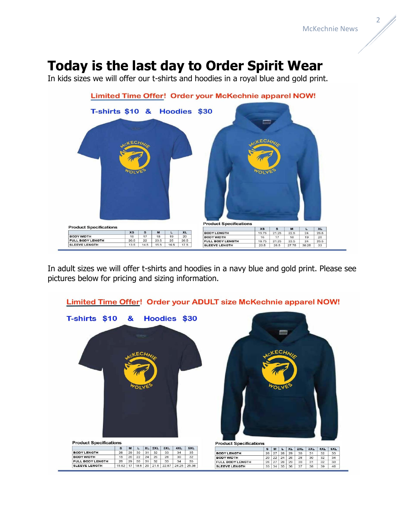#### **Today is the last day to Order Spirit Wear**

In kids sizes we will offer our t-shirts and hoodies in a royal blue and gold print.



In adult sizes we will offer t-shirts and hoodies in a navy blue and gold print. Please see pictures below for pricing and sizing information.

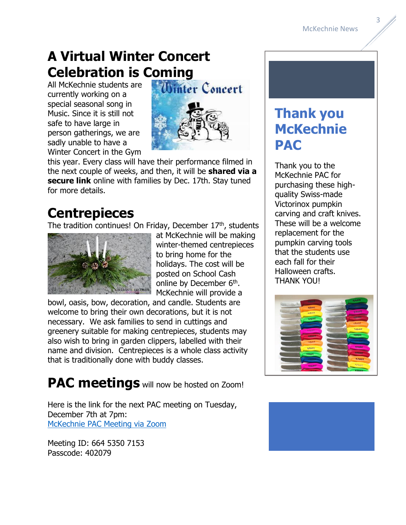**Thank you** 

**McKechnie** 

Thank you to the McKechnie PAC for purchasing these highquality Swiss-made Victorinox pumpkin

carving and craft knives. These will be a welcome replacement for the pumpkin carving tools that the students use each fall for their Halloween crafts. THANK YOU!

**PAC**

#### **A Virtual Winter Concert Celebration is Coming**

All McKechnie students are currently working on a special seasonal song in Music. Since it is still not safe to have large in person gatherings, we are sadly unable to have a Winter Concert in the Gym



this year. Every class will have their performance filmed in the next couple of weeks, and then, it will be **shared via a secure link** online with families by Dec. 17th. Stay tuned for more details.

#### **Centrepieces**

The tradition continues! On Friday, December 17th, students



at McKechnie will be making winter-themed centrepieces to bring home for the holidays. The cost will be posted on School Cash online by December 6<sup>th</sup>. McKechnie will provide a

bowl, oasis, bow, decoration, and candle. Students are welcome to bring their own decorations, but it is not necessary. We ask families to send in cuttings and greenery suitable for making centrepieces, students may also wish to bring in garden clippers, labelled with their name and division. Centrepieces is a whole class activity that is traditionally done with buddy classes.

**PAC meetings** will now be hosted on Zoom!

Here is the link for the next PAC meeting on Tuesday, December 7th at 7pm: [McKechnie PAC Meeting via Zoom](https://langara.zoom.us/j/66453507153?pwd=KzdScnFCcG1hWjVKWS85TEpRT3I2UT09)

Meeting ID: 664 5350 7153 Passcode: 402079



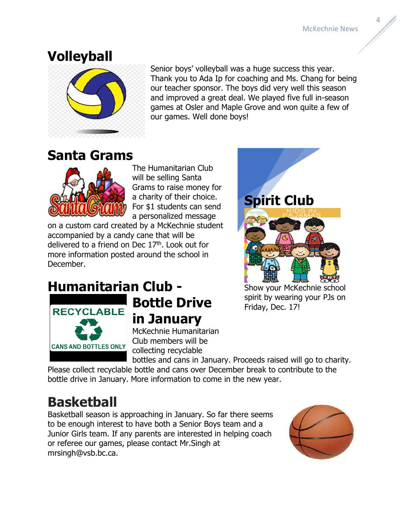McKechnie News

#### **Volleyball**



Senior boys' volleyball was a huge success this year. Thank you to Ada Ip for coaching and Ms. Chang for being our teacher sponsor. The boys did very well this season and improved a great deal. We played five full in-season games at Osler and Maple Grove and won quite a few of our games. Well done boys!

#### **Santa Grams**



The Humanitarian Club will be selling Santa Grams to raise money for a charity of their choice. For \$1 students can send a personalized message

on a custom card created by a McKechnie student accompanied by a candy cane that will be delivered to a friend on Dec  $17<sup>th</sup>$ . Look out for more information posted around the school in December.



#### **Humanitarian Club -**



### **Bottle Drive in January**

McKechnie Humanitarian Club members will be collecting recyclable

Show your McKechnie school spirit by wearing your PJs on Friday, Dec. 17!

bottles and cans in January. Proceeds raised will go to charity. Please collect recyclable bottle and cans over December break to contribute to the bottle drive in January. More information to come in the new year.

#### **Basketball**

Basketball season is approaching in January. So far there seems to be enough interest to have both a Senior Boys team and a Junior Girls team. If any parents are interested in helping coach or referee our games, please contact Mr.Singh at mrsingh@vsb.bc.ca.